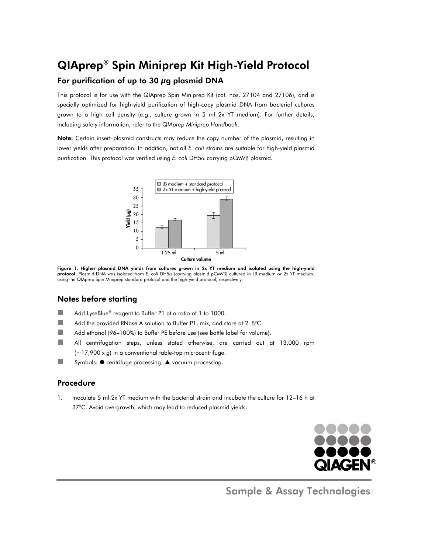## **QIAprep® Spin Miniprep Kit High-Yield Protocol** For purification of up to 30 µg plasmid DNA

This protocol is for use with the QIAprep Spin Miniprep Kit (cat. nos. 27104 and 27106), and is specially optimized for high-yield purification of high-copy plasmid DNA from bacterial cultures grown to a high cell density (e.g., culture grown in 5 ml 2x YT medium). For further details, including safety information, refer to the QIAprep Miniprep Handbook.

Note: Certain insert-plasmid constructs may reduce the copy number of the plasmid, resulting in lower yields after preparation. In addition, not all E. coli strains are suitable for high-yield plasmid purification. This protocol was verified using E. coli DH5a carrying pCMVß plasmid.



Figure 1. Higher plasmid DNA yields from cultures grown in 2x YT medium and isolated using the high-yield protocol. Plasmid DNA was isolated from E. coli DH5a (carrying plasmid pCMVB) cultured in LB medium or 2x YT medium, using the QIAprep Spin Miniprep standard protocol and the high-yield protocol, respectively.

## **Notes before starting**

- **The State** Add LyseBlue<sup>®</sup> reagent to Buffer P1 at a ratio of 1 to 1000.
- **The State** Add the provided RNase A solution to Buffer P1, mix, and store at 2-8°C.
- **The State** Add ethanol (96-100%) to Buffer PE before use (see bottle label for volume).
- $\mathcal{L}_{\mathcal{A}}$ All centrifugation steps, unless stated otherwise, are carried out at 13,000 rpm  $(-17,900 \times g)$  in a conventional table-top microcentrifuge.
- **College** Symbols: ● centrifuge processing; ▲ vacuum processing.

## Procedure

 $\mathbf{1}$ Inoculate 5 ml 2x YT medium with the bacterial strain and incubate the culture for 12-16 h at 37°C. Avoid overgrowth, which may lead to reduced plasmid yields.



**Sample & Assay Technologies**